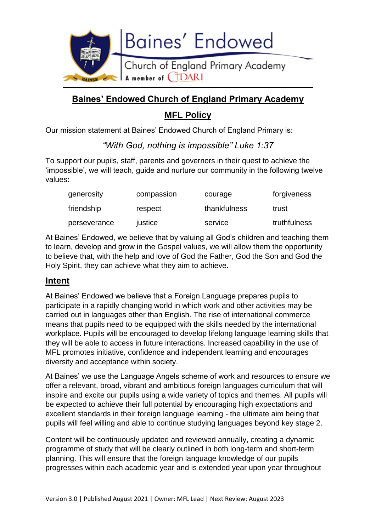

# **Baines' Endowed Church of England Primary Academy MFL Policy**

Our mission statement at Baines' Endowed Church of England Primary is:

*"With God, nothing is impossible" Luke 1:37*

To support our pupils, staff, parents and governors in their quest to achieve the 'impossible', we will teach, guide and nurture our community in the following twelve values:

| generosity   | compassion | courage      | forgiveness  |
|--------------|------------|--------------|--------------|
| friendship   | respect    | thankfulness | trust        |
| perseverance | justice    | service      | truthfulness |

At Baines' Endowed, we believe that by valuing all God's children and teaching them to learn, develop and grow in the Gospel values, we will allow them the opportunity to believe that, with the help and love of God the Father, God the Son and God the Holy Spirit, they can achieve what they aim to achieve.

## **Intent**

At Baines' Endowed we believe that a Foreign Language prepares pupils to participate in a rapidly changing world in which work and other activities may be carried out in languages other than English. The rise of international commerce means that pupils need to be equipped with the skills needed by the international workplace. Pupils will be encouraged to develop lifelong language learning skills that they will be able to access in future interactions. Increased capability in the use of MFL promotes initiative, confidence and independent learning and encourages diversity and acceptance within society.

At Baines' we use the Language Angels scheme of work and resources to ensure we offer a relevant, broad, vibrant and ambitious foreign languages curriculum that will inspire and excite our pupils using a wide variety of topics and themes. All pupils will be expected to achieve their full potential by encouraging high expectations and excellent standards in their foreign language learning - the ultimate aim being that pupils will feel willing and able to continue studying languages beyond key stage 2.

Content will be continuously updated and reviewed annually, creating a dynamic programme of study that will be clearly outlined in both long-term and short-term planning. This will ensure that the foreign language knowledge of our pupils progresses within each academic year and is extended year upon year throughout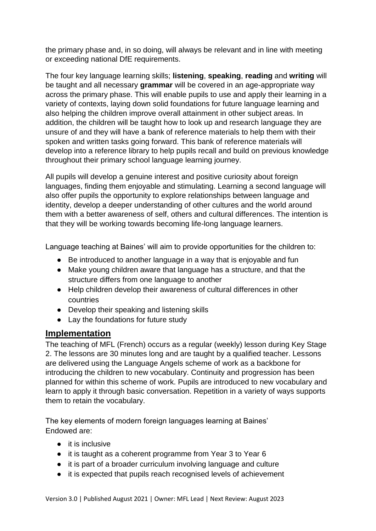the primary phase and, in so doing, will always be relevant and in line with meeting or exceeding national DfE requirements.

The four key language learning skills; **listening**, **speaking**, **reading** and **writing** will be taught and all necessary **grammar** will be covered in an age-appropriate way across the primary phase. This will enable pupils to use and apply their learning in a variety of contexts, laying down solid foundations for future language learning and also helping the children improve overall attainment in other subject areas. In addition, the children will be taught how to look up and research language they are unsure of and they will have a bank of reference materials to help them with their spoken and written tasks going forward. This bank of reference materials will develop into a reference library to help pupils recall and build on previous knowledge throughout their primary school language learning journey.

All pupils will develop a genuine interest and positive curiosity about foreign languages, finding them enjoyable and stimulating. Learning a second language will also offer pupils the opportunity to explore relationships between language and identity, develop a deeper understanding of other cultures and the world around them with a better awareness of self, others and cultural differences. The intention is that they will be working towards becoming life-long language learners.

Language teaching at Baines' will aim to provide opportunities for the children to:

- Be introduced to another language in a way that is enjoyable and fun
- Make young children aware that language has a structure, and that the structure differs from one language to another
- Help children develop their awareness of cultural differences in other countries
- Develop their speaking and listening skills
- Lay the foundations for future study

## **Implementation**

The teaching of MFL (French) occurs as a regular (weekly) lesson during Key Stage 2. The lessons are 30 minutes long and are taught by a qualified teacher. Lessons are delivered using the Language Angels scheme of work as a backbone for introducing the children to new vocabulary. Continuity and progression has been planned for within this scheme of work. Pupils are introduced to new vocabulary and learn to apply it through basic conversation. Repetition in a variety of ways supports them to retain the vocabulary.

The key elements of modern foreign languages learning at Baines' Endowed are:

- it is inclusive
- it is taught as a coherent programme from Year 3 to Year 6
- it is part of a broader curriculum involving language and culture
- it is expected that pupils reach recognised levels of achievement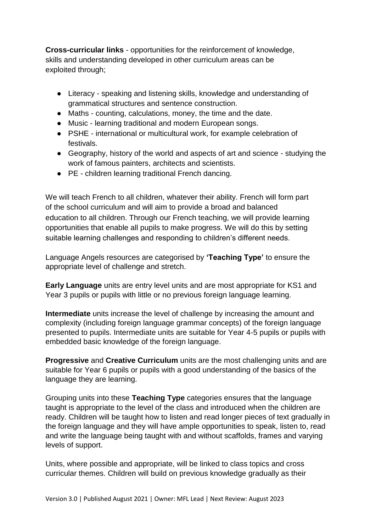**Cross-curricular links** - opportunities for the reinforcement of knowledge, skills and understanding developed in other curriculum areas can be exploited through;

- Literacy speaking and listening skills, knowledge and understanding of grammatical structures and sentence construction.
- Maths counting, calculations, money, the time and the date.
- Music learning traditional and modern European songs.
- PSHE international or multicultural work, for example celebration of festivals.
- Geography, history of the world and aspects of art and science studying the work of famous painters, architects and scientists.
- PE children learning traditional French dancing.

We will teach French to all children, whatever their ability. French will form part of the school curriculum and will aim to provide a broad and balanced education to all children. Through our French teaching, we will provide learning opportunities that enable all pupils to make progress. We will do this by setting suitable learning challenges and responding to children's different needs.

Language Angels resources are categorised by **'Teaching Type'** to ensure the appropriate level of challenge and stretch.

**Early Language** units are entry level units and are most appropriate for KS1 and Year 3 pupils or pupils with little or no previous foreign language learning.

**Intermediate** units increase the level of challenge by increasing the amount and complexity (including foreign language grammar concepts) of the foreign language presented to pupils. Intermediate units are suitable for Year 4-5 pupils or pupils with embedded basic knowledge of the foreign language.

**Progressive** and **Creative Curriculum** units are the most challenging units and are suitable for Year 6 pupils or pupils with a good understanding of the basics of the language they are learning.

Grouping units into these **Teaching Type** categories ensures that the language taught is appropriate to the level of the class and introduced when the children are ready. Children will be taught how to listen and read longer pieces of text gradually in the foreign language and they will have ample opportunities to speak, listen to, read and write the language being taught with and without scaffolds, frames and varying levels of support.

Units, where possible and appropriate, will be linked to class topics and cross curricular themes. Children will build on previous knowledge gradually as their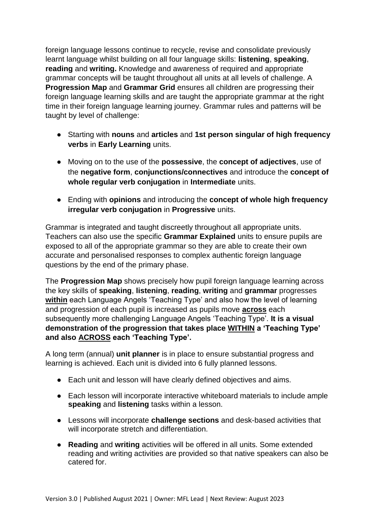foreign language lessons continue to recycle, revise and consolidate previously learnt language whilst building on all four language skills: **listening**, **speaking**, **reading** and **writing.** Knowledge and awareness of required and appropriate grammar concepts will be taught throughout all units at all levels of challenge. A **Progression Map** and **Grammar Grid** ensures all children are progressing their foreign language learning skills and are taught the appropriate grammar at the right time in their foreign language learning journey. Grammar rules and patterns will be taught by level of challenge:

- Starting with **nouns** and **articles** and **1st person singular of high frequency verbs** in **Early Learning** units.
- Moving on to the use of the **possessive**, the **concept of adjectives**, use of the **negative form**, **conjunctions/connectives** and introduce the **concept of whole regular verb conjugation** in **Intermediate** units.
- Ending with **opinions** and introducing the **concept of whole high frequency irregular verb conjugation** in **Progressive** units.

Grammar is integrated and taught discreetly throughout all appropriate units. Teachers can also use the specific **Grammar Explained** units to ensure pupils are exposed to all of the appropriate grammar so they are able to create their own accurate and personalised responses to complex authentic foreign language questions by the end of the primary phase.

The **Progression Map** shows precisely how pupil foreign language learning across the key skills of **speaking**, **listening**, **reading**, **writing** and **grammar** progresses **within** each Language Angels 'Teaching Type' and also how the level of learning and progression of each pupil is increased as pupils move **across** each subsequently more challenging Language Angels 'Teaching Type'. **It is a visual demonstration of the progression that takes place WITHIN a 'Teaching Type' and also ACROSS each 'Teaching Type'.**

A long term (annual) **unit planner** is in place to ensure substantial progress and learning is achieved. Each unit is divided into 6 fully planned lessons.

- Each unit and lesson will have clearly defined objectives and aims.
- Each lesson will incorporate interactive whiteboard materials to include ample **speaking** and **listening** tasks within a lesson.
- Lessons will incorporate **challenge sections** and desk-based activities that will incorporate stretch and differentiation.
- **Reading** and **writing** activities will be offered in all units. Some extended reading and writing activities are provided so that native speakers can also be catered for.